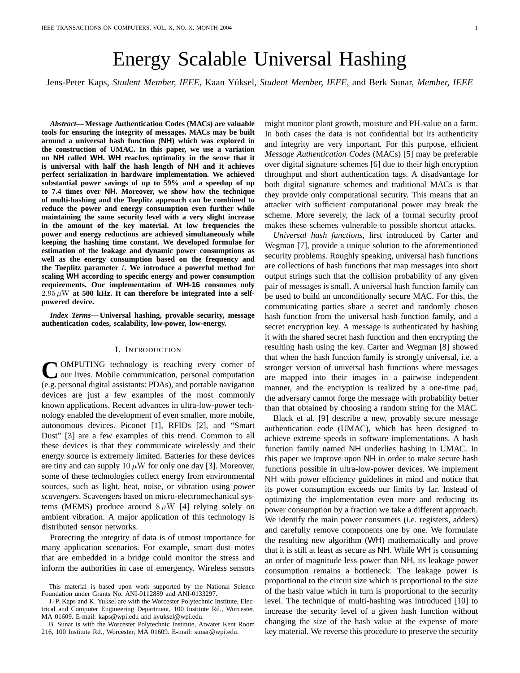# Energy Scalable Universal Hashing

Jens-Peter Kaps, *Student Member, IEEE*, Kaan Yüksel, *Student Member, IEEE*, and Berk Sunar, Member, IEEE

*Abstract***— Message Authentication Codes (MACs) are valuable tools for ensuring the integrity of messages. MACs may be built around a universal hash function (NH) which was explored in the construction of UMAC. In this paper, we use a variation on NH called WH. WH reaches optimality in the sense that it is universal with half the hash length of NH and it achieves perfect serialization in hardware implementation. We achieved substantial power savings of up to 59% and a speedup of up to 7.4 times over NH. Moreover, we show how the technique of multi-hashing and the Toeplitz approach can be combined to reduce the power and energy consumption even further while maintaining the same security level with a very slight increase in the amount of the key material. At low frequencies the power and energy reductions are achieved simultaneously while keeping the hashing time constant. We developed formulae for estimation of the leakage and dynamic power consumptions as well as the energy consumption based on the frequency and the Toeplitz parameter** t**. We introduce a powerful method for scaling WH according to specific energy and power consumption requirements. Our implementation of WH-16 consumes only**  $2.95 \mu W$  at 500 kHz. It can therefore be integrated into a self**powered device.**

*Index Terms***— Universal hashing, provable security, message authentication codes, scalability, low-power, low-energy.**

# I. INTRODUCTION

**C** OMPUTING technology is reaching every corner of our lives. Mobile communication, personal computation our lives. Mobile communication, personal computation (e.g. personal digital assistants: PDAs), and portable navigation devices are just a few examples of the most commonly known applications. Recent advances in ultra-low-power technology enabled the development of even smaller, more mobile, autonomous devices. Piconet [1], RFIDs [2], and "Smart Dust" [3] are a few examples of this trend. Common to all these devices is that they communicate wirelessly and their energy source is extremely limited. Batteries for these devices are tiny and can supply  $10 \mu W$  for only one day [3]. Moreover, some of these technologies collect energy from environmental sources, such as light, heat, noise, or vibration using *power scavengers*. Scavengers based on micro-electromechanical systems (MEMS) produce around  $8 \mu W$  [4] relying solely on ambient vibration. A major application of this technology is distributed sensor networks.

Protecting the integrity of data is of utmost importance for many application scenarios. For example, smart dust motes that are embedded in a bridge could monitor the stress and inform the authorities in case of emergency. Wireless sensors might monitor plant growth, moisture and PH-value on a farm. In both cases the data is not confidential but its authenticity and integrity are very important. For this purpose, efficient *Message Authentication Codes* (MACs) [5] may be preferable over digital signature schemes [6] due to their high encryption throughput and short authentication tags. A disadvantage for both digital signature schemes and traditional MACs is that they provide only computational security. This means that an attacker with sufficient computational power may break the scheme. More severely, the lack of a formal security proof makes these schemes vulnerable to possible shortcut attacks.

*Universal hash functions*, first introduced by Carter and Wegman [7], provide a unique solution to the aforementioned security problems. Roughly speaking, universal hash functions are collections of hash functions that map messages into short output strings such that the collision probability of any given pair of messages is small. A universal hash function family can be used to build an unconditionally secure MAC. For this, the communicating parties share a secret and randomly chosen hash function from the universal hash function family, and a secret encryption key. A message is authenticated by hashing it with the shared secret hash function and then encrypting the resulting hash using the key. Carter and Wegman [8] showed that when the hash function family is strongly universal, i.e. a stronger version of universal hash functions where messages are mapped into their images in a pairwise independent manner, and the encryption is realized by a one-time pad, the adversary cannot forge the message with probability better than that obtained by choosing a random string for the MAC.

Black et al. [9] describe a new, provably secure message authentication code (UMAC), which has been designed to achieve extreme speeds in software implementations. A hash function family named NH underlies hashing in UMAC. In this paper we improve upon NH in order to make secure hash functions possible in ultra-low-power devices. We implement NH with power efficiency guidelines in mind and notice that its power consumption exceeds our limits by far. Instead of optimizing the implementation even more and reducing its power consumption by a fraction we take a different approach. We identify the main power consumers (i.e. registers, adders) and carefully remove components one by one. We formulate the resulting new algorithm (WH) mathematically and prove that it is still at least as secure as NH. While WH is consuming an order of magnitude less power than NH, its leakage power consumption remains a bottleneck. The leakage power is proportional to the circuit size which is proportional to the size of the hash value which in turn is proportional to the security level. The technique of multi-hashing was introduced [10] to increase the security level of a given hash function without changing the size of the hash value at the expense of more key material. We reverse this procedure to preserve the security

This material is based upon work supported by the National Science Foundation under Grants No. ANI-0112889 and ANI-0133297.

J.-P. Kaps and K. Yuksel are with the Worcester Polytechnic Institute, Electrical and Computer Engineering Department, 100 Institute Rd., Worcester, MA 01609. E-mail: kaps@wpi.edu and kyuksel@wpi.edu.

B. Sunar is with the Worcester Polytechnic Institute, Atwater Kent Room 216, 100 Institute Rd., Worcester, MA 01609. E-mail: sunar@wpi.edu.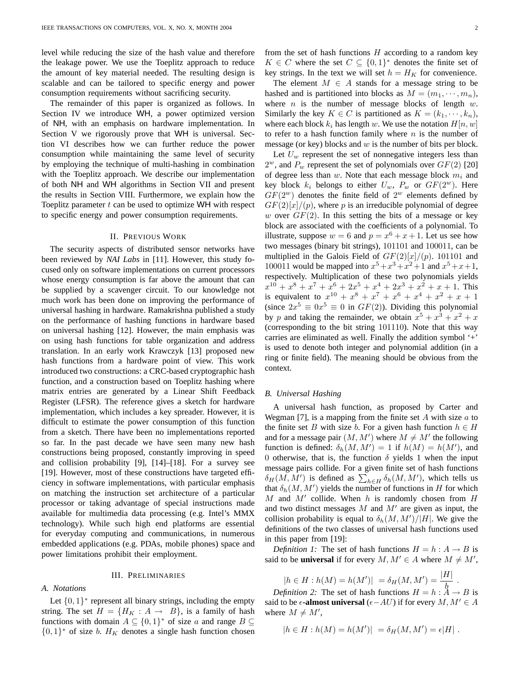level while reducing the size of the hash value and therefore the leakage power. We use the Toeplitz approach to reduce the amount of key material needed. The resulting design is scalable and can be tailored to specific energy and power consumption requirements without sacrificing security.

The remainder of this paper is organized as follows. In Section IV we introduce WH, a power optimized version of NH, with an emphasis on hardware implementation. In Section V we rigorously prove that WH is universal. Section VI describes how we can further reduce the power consumption while maintaining the same level of security by employing the technique of multi-hashing in combination with the Toeplitz approach. We describe our implementation of both NH and WH algorithms in Section VII and present the results in Section VIII. Furthermore, we explain how the Toeplitz parameter  $t$  can be used to optimize WH with respect to specific energy and power consumption requirements.

## II. PREVIOUS WORK

The security aspects of distributed sensor networks have been reviewed by *NAI Labs* in [11]. However, this study focused only on software implementations on current processors whose energy consumption is far above the amount that can be supplied by a scavenger circuit. To our knowledge not much work has been done on improving the performance of universal hashing in hardware. Ramakrishna published a study on the performance of hashing functions in hardware based on universal hashing [12]. However, the main emphasis was on using hash functions for table organization and address translation. In an early work Krawczyk [13] proposed new hash functions from a hardware point of view. This work introduced two constructions: a CRC-based cryptographic hash function, and a construction based on Toeplitz hashing where matrix entries are generated by a Linear Shift Feedback Register (LFSR). The reference gives a sketch for hardware implementation, which includes a key spreader. However, it is difficult to estimate the power consumption of this function from a sketch. There have been no implementations reported so far. In the past decade we have seen many new hash constructions being proposed, constantly improving in speed and collision probability [9], [14]–[18]. For a survey see [19]. However, most of these constructions have targeted efficiency in software implementations, with particular emphasis on matching the instruction set architecture of a particular processor or taking advantage of special instructions made available for multimedia data processing (e.g. Intel's MMX technology). While such high end platforms are essential for everyday computing and communications, in numerous embedded applications (e.g. PDAs, mobile phones) space and power limitations prohibit their employment.

#### III. PRELIMINARIES

# *A. Notations*

Let  $\{0,1\}^*$  represent all binary strings, including the empty string. The set  $H = \{H_K : A \rightarrow B\}$ , is a family of hash functions with domain  $A \subseteq \{0,1\}^*$  of size a and range  $B \subseteq$  $\{0,1\}^*$  of size b.  $H_K$  denotes a single hash function chosen from the set of hash functions  $H$  according to a random key  $K \in \mathbb{C}$  where the set  $\mathbb{C} \subseteq \{0,1\}^*$  denotes the finite set of key strings. In the text we will set  $h = H_K$  for convenience.

The element  $M \in A$  stands for a message string to be hashed and is partitioned into blocks as  $M = (m_1, \dots, m_n)$ , where  $n$  is the number of message blocks of length  $w$ . Similarly the key  $K \in C$  is partitioned as  $K = (k_1, \dots, k_n)$ , where each block  $k_i$  has length w. We use the notation  $H[n, w]$ to refer to a hash function family where  $n$  is the number of message (or key) blocks and  $w$  is the number of bits per block.

Let  $U_w$  represent the set of nonnegative integers less than  $2^w$ , and  $P_w$  represent the set of polynomials over  $GF(2)$  [20] of degree less than  $w$ . Note that each message block  $m<sub>i</sub>$  and key block  $k_i$  belongs to either  $U_w$ ,  $P_w$  or  $GF(2^w)$ . Here  $GF(2^w)$  denotes the finite field of  $2^w$  elements defined by  $GF(2)[x]/(p)$ , where p is an irreducible polynomial of degree w over  $GF(2)$ . In this setting the bits of a message or key block are associated with the coefficients of a polynomial. To illustrate, suppose  $w = 6$  and  $p = x^6 + x + 1$ . Let us see how two messages (binary bit strings), 101101 and 100011, can be multiplied in the Galois Field of  $GF(2)[x]/(p)$ . 101101 and 100011 would be mapped into  $x^5 + x^3 + x^2 + 1$  and  $x^5 + x + 1$ , respectively. Multiplication of these two polynomials yields  $x^{10} + x^8 + x^7 + x^6 + 2x^5 + x^4 + 2x^3 + x^2 + x + 1$ . This is equivalent to  $x^{10} + x^8 + x^7 + x^6 + x^4 + x^2 + x + 1$ (since  $2x^5 \equiv 0x^5 \equiv 0$  in  $GF(2)$ ). Dividing this polynomial by p and taking the remainder, we obtain  $x^5 + x^3 + x^2 + x$ (corresponding to the bit string 101110). Note that this way carries are eliminated as well. Finally the addition symbol '+' is used to denote both integer and polynomial addition (in a ring or finite field). The meaning should be obvious from the context.

# *B. Universal Hashing*

A universal hash function, as proposed by Carter and Wegman [7], is a mapping from the finite set  $A$  with size  $a$  to the finite set B with size b. For a given hash function  $h \in H$ and for a message pair  $(M, M')$  where  $M \neq M'$  the following function is defined:  $\delta_h(M, M') = 1$  if  $h(M) = h(M')$ , and 0 otherwise, that is, the function  $\delta$  yields 1 when the input message pairs collide. For a given finite set of hash functions message pairs connue. For a given limite set of hash functions  $\delta_H(M, M')$  is defined as  $\sum_{h \in H} \delta_h(M, M')$ , which tells us that  $\delta_h(M, M')$  yields the number of functions in H for which  $M$  and  $M'$  collide. When  $h$  is randomly chosen from  $H$ and two distinct messages  $M$  and  $M'$  are given as input, the collision probability is equal to  $\delta_h(M, M')/|H|$ . We give the definitions of the two classes of universal hash functions used in this paper from [19]:

*Definition 1:* The set of hash functions  $H = h : A \rightarrow B$  is said to be **universal** if for every  $M, M' \in A$  where  $M \neq M'$ ,

$$
|h \in H : h(M) = h(M')| = \delta_H(M, M') = \frac{|H|}{h}.
$$

 $\begin{array}{c} \n\text{Definition 2: The set of hash functions } H = h : A \rightarrow B \text{ is} \n\end{array}$ said to be  $\epsilon$ **-almost universal** ( $\epsilon$ −AU) if for every  $M, M' \in A$ where  $M \neq M'$ ,

$$
|h \in H : h(M) = h(M')| = \delta_H(M, M') = \epsilon |H|.
$$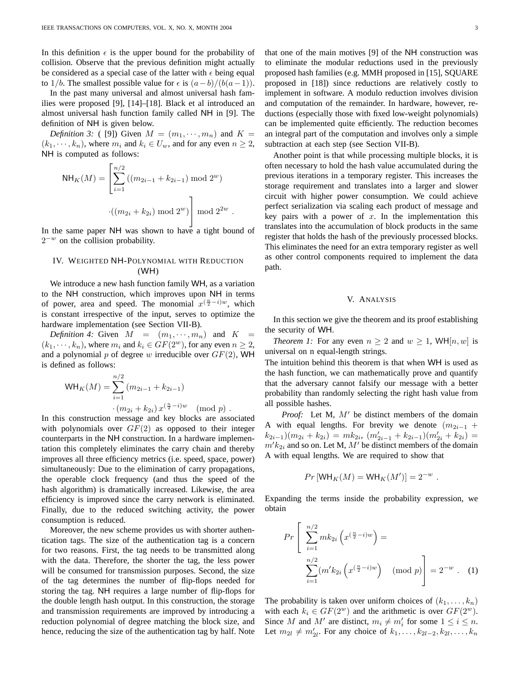In this definition  $\epsilon$  is the upper bound for the probability of collision. Observe that the previous definition might actually be considered as a special case of the latter with  $\epsilon$  being equal to 1/b. The smallest possible value for  $\epsilon$  is  $(a-b)/(b(a-1))$ .

In the past many universal and almost universal hash families were proposed [9], [14]–[18]. Black et al introduced an almost universal hash function family called NH in [9]. The definition of NH is given below.

*Definition 3:* ( [9]) Given  $M = (m_1, \dots, m_n)$  and  $K =$  $(k_1, \dots, k_n)$ , where  $m_i$  and  $k_i \in U_w$ , and for any even  $n \geq 2$ , NH is computed as follows:  $\overline{r}$ 

$$
\mathsf{NH}_K(M) = \left[ \sum_{i=1}^{n/2} ((m_{2i-1} + k_{2i-1}) \bmod 2^w) \right]
$$

$$
\cdot ((m_{2i} + k_{2i}) \bmod 2^w) \right]
$$
 mod  $2^{2w}$ .

In the same paper NH was shown to have a tight bound of  $2^{-w}$  on the collision probability.

# IV. WEIGHTED NH-POLYNOMIAL WITH REDUCTION (WH)

We introduce a new hash function family WH, as a variation to the NH construction, which improves upon NH in terms of power, area and speed. The monomial  $x^{(\frac{n}{2}-i)w}$ , which is constant irrespective of the input, serves to optimize the hardware implementation (see Section VII-B).

*Definition 4:* Given  $M = (m_1, \dots, m_n)$  and  $K =$  $(k_1, \dots, k_n)$ , where  $m_i$  and  $k_i \in GF(2^w)$ , for any even  $n \geq 2$ , and a polynomial p of degree w irreducible over  $GF(2)$ , WH is defined as follows:

$$
WH_K(M) = \sum_{i=1}^{n/2} (m_{2i-1} + k_{2i-1})
$$

$$
\cdot (m_{2i} + k_{2i}) x^{(\frac{n}{2} - i)w} \pmod{p}.
$$

In this construction message and key blocks are associated with polynomials over  $GF(2)$  as opposed to their integer counterparts in the NH construction. In a hardware implementation this completely eliminates the carry chain and thereby improves all three efficiency metrics (i.e. speed, space, power) simultaneously: Due to the elimination of carry propagations, the operable clock frequency (and thus the speed of the hash algorithm) is dramatically increased. Likewise, the area efficiency is improved since the carry network is eliminated. Finally, due to the reduced switching activity, the power consumption is reduced.

Moreover, the new scheme provides us with shorter authentication tags. The size of the authentication tag is a concern for two reasons. First, the tag needs to be transmitted along with the data. Therefore, the shorter the tag, the less power will be consumed for transmission purposes. Second, the size of the tag determines the number of flip-flops needed for storing the tag. NH requires a large number of flip-flops for the double length hash output. In this construction, the storage and transmission requirements are improved by introducing a reduction polynomial of degree matching the block size, and hence, reducing the size of the authentication tag by half. Note that one of the main motives [9] of the NH construction was to eliminate the modular reductions used in the previously proposed hash families (e.g. MMH proposed in [15], SQUARE proposed in [18]) since reductions are relatively costly to implement in software. A modulo reduction involves division and computation of the remainder. In hardware, however, reductions (especially those with fixed low-weight polynomials) can be implemented quite efficiently. The reduction becomes an integral part of the computation and involves only a simple subtraction at each step (see Section VII-B).

Another point is that while processing multiple blocks, it is often necessary to hold the hash value accumulated during the previous iterations in a temporary register. This increases the storage requirement and translates into a larger and slower circuit with higher power consumption. We could achieve perfect serialization via scaling each product of message and key pairs with a power of  $x$ . In the implementation this translates into the accumulation of block products in the same register that holds the hash of the previously processed blocks. This eliminates the need for an extra temporary register as well as other control components required to implement the data path.

## V. ANALYSIS

In this section we give the theorem and its proof establishing the security of WH.

*Theorem 1:* For any even  $n \geq 2$  and  $w \geq 1$ , WH[n, w] is universal on n equal-length strings.

The intuition behind this theorem is that when WH is used as the hash function, we can mathematically prove and quantify that the adversary cannot falsify our message with a better probability than randomly selecting the right hash value from all possible hashes.

*Proof:* Let M,  $M'$  be distinct members of the domain A with equal lengths. For brevity we denote  $(m_{2i-1} +$  $(k_{2i-1})(m_{2i} + k_{2i}) = mk_{2i}, (m'_{2i-1} + k_{2i-1})(m'_{2i} + k_{2i}) =$  $m'k_{2i}$  and so on. Let M, M' be distinct members of the domain A with equal lengths. We are required to show that

$$
Pr[WH_K(M) = WH_K(M')] = 2^{-w}.
$$

Expanding the terms inside the probability expression, we obtain

$$
Pr\left[\sum_{i=1}^{n/2} mk_{2i} \left(x^{\left(\frac{n}{2} - i\right)w}\right) = \sum_{i=1}^{n/2} (m'k_{2i} \left(x^{\left(\frac{n}{2} - i\right)w}\right) \pmod{p}\right] = 2^{-w} . (1)
$$

The probability is taken over uniform choices of  $(k_1, \ldots, k_n)$ with each  $k_i \in GF(2^w)$  and the arithmetic is over  $GF(2^w)$ . Since M and M' are distinct,  $m_i \neq m'_i$  for some  $1 \leq i \leq n$ . Let  $m_{2l} \neq m'_{2l}$ . For any choice of  $k_1, \ldots, k_{2l-2}, k_{2l}, \ldots, k_n$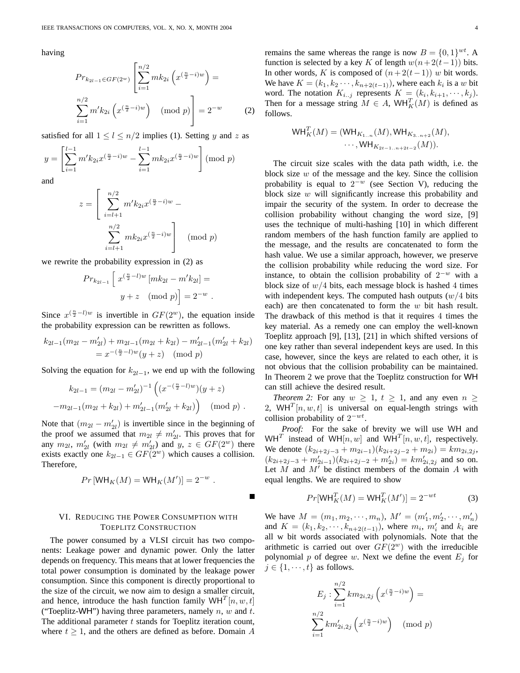having

$$
Pr_{k_{2l-1} \in GF(2^w)} \left[ \sum_{i=1}^{n/2} mk_{2i} \left( x^{\left(\frac{n}{2} - i\right)w} \right) = \sum_{i=1}^{n/2} m' k_{2i} \left( x^{\left(\frac{n}{2} - i\right)w} \right) \pmod{p} \right] = 2^{-w} \tag{2}
$$

satisfied for all  $1 \leq l \leq n/2$  implies (1). Setting y and z as

$$
y = \left[\sum_{i=1}^{l-1} m' k_{2i} x^{(\frac{n}{2}-i)w} - \sum_{i=1}^{l-1} m k_{2i} x^{(\frac{n}{2}-i)w}\right] \pmod{p}
$$

and

$$
z = \left[ \sum_{i=l+1}^{n/2} m' k_{2i} x^{(\frac{n}{2} - i)w} - \sum_{i=l+1}^{n/2} m k_{2i} x^{(\frac{n}{2} - i)w} \right] \pmod{p}
$$

we rewrite the probability expression in (2) as

$$
Pr_{k_{2l-1}} \left[ x^{(\frac{n}{2}-l)w} [mk_{2l} - m'k_{2l}] = 0 \right]
$$
  

$$
y + z \pmod{p} = 2^{-w}.
$$

Since  $x^{(\frac{n}{2}-l)w}$  is invertible in  $GF(2^w)$ , the equation inside the probability expression can be rewritten as follows.

$$
k_{2l-1}(m_{2l} - m'_{2l}) + m_{2l-1}(m_{2l} + k_{2l}) - m'_{2l-1}(m'_{2l} + k_{2l})
$$
  
=  $x^{-(\frac{n}{2}-l)w}(y+z) \pmod{p}$ 

Solving the equation for  $k_{2l-1}$ , we end up with the following

$$
k_{2l-1} = (m_{2l} - m'_{2l})^{-1} \left( (x^{-(\frac{n}{2}-l)w})(y+z) - m_{2l-1}(m_{2l} + k_{2l}) + m'_{2l-1}(m'_{2l} + k_{2l}) \right) \pmod{p}.
$$

Note that  $(m_{2l} - m'_{2l})$  is invertible since in the beginning of the proof we assumed that  $m_{2l} \neq m'_{2l}$ . This proves that for any  $m_{2l}$ ,  $m'_{2l}$  (with  $m_{2l} \neq m'_{2l}$ ) and  $y, z \in GF(2^w)$  there exists exactly one  $k_{2l-1} \in GF(2^w)$  which causes a collision. Therefore,

$$
Pr[WH_K(M) = WH_K(M')] = 2^{-w}.
$$

# VI. REDUCING THE POWER CONSUMPTION WITH TOEPLITZ CONSTRUCTION

The power consumed by a VLSI circuit has two components: Leakage power and dynamic power. Only the latter depends on frequency. This means that at lower frequencies the total power consumption is dominated by the leakage power consumption. Since this component is directly proportional to the size of the circuit, we now aim to design a smaller circuit, and hence, introduce the hash function family  $\text{WH}^T[n, w, t]$ ("Toeplitz-WH") having three parameters, namely  $n$ ,  $w$  and  $t$ . The additional parameter  $t$  stands for Toeplitz iteration count, where  $t \geq 1$ , and the others are defined as before. Domain A

remains the same whereas the range is now  $B = \{0, 1\}^{wt}$ . A function is selected by a key K of length  $w(n+2(t-1))$  bits. In other words, K is composed of  $(n+2(t-1))$  w bit words. We have  $K = (k_1, k_2 \cdots, k_{n+2(t-1)})$ , where each  $k_i$  is a w bit word. The notation  $K_{i,j}$  represents  $K = (k_i, k_{i+1}, \dots, k_j)$ . Then for a message string  $M \in A$ , WH $_K^T(M)$  is defined as follows.

$$
WH_{K}^{T}(M) = (WH_{K_{1..n}}(M), WH_{K_{3..n+2}}(M),
$$

$$
\cdots, WH_{K_{2t-1..n+2t-2}}(M)).
$$

The circuit size scales with the data path width, i.e. the block size  $w$  of the message and the key. Since the collision probability is equal to  $2^{-w}$  (see Section V), reducing the block size w will significantly increase this probability and impair the security of the system. In order to decrease the collision probability without changing the word size, [9] uses the technique of multi-hashing [10] in which different random members of the hash function family are applied to the message, and the results are concatenated to form the hash value. We use a similar approach, however, we preserve the collision probability while reducing the word size. For instance, to obtain the collision probability of  $2^{-w}$  with a block size of  $w/4$  bits, each message block is hashed 4 times with independent keys. The computed hash outputs  $(w/4$  bits each) are then concatenated to form the  $w$  bit hash result. The drawback of this method is that it requires 4 times the key material. As a remedy one can employ the well-known Toeplitz approach [9], [13], [21] in which shifted versions of one key rather than several independent keys are used. In this case, however, since the keys are related to each other, it is not obvious that the collision probability can be maintained. In Theorem 2 we prove that the Toeplitz construction for WH can still achieve the desired result.

*Theorem 2:* For any  $w \geq 1$ ,  $t \geq 1$ , and any even  $n \geq 1$ 2, WH<sup>T</sup> $[n, w, t]$  is universal on equal-length strings with collision probability of  $2^{-wt}$ .

*Proof:* For the sake of brevity we will use WH and WH<sup>T</sup> instead of WH[n, w] and WH<sup>T</sup>[n, w, t], respectively. We denote  $(k_{2i+2j-3} + m_{2i-1})(k_{2i+2j-2} + m_{2i}) = km_{2i,2j}$ ,  $(k_{2i+2j-3} + m'_{2i-1})(k_{2i+2j-2} + m'_{2i}) = km'_{2i,2j}$  and so on. Let  $M$  and  $M'$  be distinct members of the domain  $A$  with equal lengths. We are required to show

$$
Pr[\text{WH}_K^T(M) = \text{WH}_K^T(M')] = 2^{-wt} \tag{3}
$$

We have  $M = (m_1, m_2, \cdots, m_n), M' = (m'_1, m'_2, \cdots, m'_n)$ and  $K = (k_1, k_2, \dots, k_{n+2(t-1)})$ , where  $m_i$ ,  $m'_i$  and  $k_i$  are all w bit words associated with polynomials. Note that the arithmetic is carried out over  $GF(2<sup>w</sup>)$  with the irreducible polynomial  $p$  of degree  $w$ . Next we define the event  $E_i$  for  $j \in \{1, \dots, t\}$  as follows.

$$
E_j: \sum_{i=1}^{n/2} km_{2i,2j} \left( x^{(\frac{n}{2}-i)w} \right) =
$$
  

$$
\sum_{i=1}^{n/2} km'_{2i,2j} \left( x^{(\frac{n}{2}-i)w} \right) \pmod{p}
$$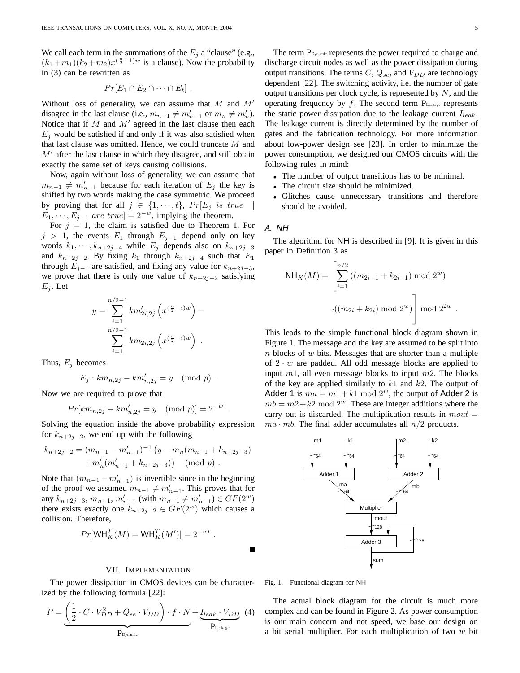We call each term in the summations of the  $E_j$  a "clause" (e.g.,  $(k_1+m_1)(k_2+m_2)x^{(\frac{n}{2}-1)w}$  is a clause). Now the probability in (3) can be rewritten as

$$
Pr[E_1 \cap E_2 \cap \cdots \cap E_t].
$$

Without loss of generality, we can assume that  $M$  and  $M'$ disagree in the last clause (i.e.,  $m_{n-1} \neq m'_{n-1}$  or  $m_n \neq m'_n$ ). Notice that if  $M$  and  $M'$  agreed in the last clause then each  $E_i$  would be satisfied if and only if it was also satisfied when that last clause was omitted. Hence, we could truncate  $M$  and  $M'$  after the last clause in which they disagree, and still obtain exactly the same set of keys causing collisions.

Now, again without loss of generality, we can assume that  $m_{n-1} \neq m'_{n-1}$  because for each iteration of  $E_j$  the key is shifted by two words making the case symmetric. We proceed by proving that for all  $j \in \{1, \dots, t\}$ ,  $Pr[E_j \text{ is true}]$  $E_1, \dots, E_{j-1}$  are true] =  $2^{-w}$ , implying the theorem.

For  $j = 1$ , the claim is satisfied due to Theorem 1. For  $j > 1$ , the events  $E_1$  through  $E_{j-1}$  depend only on key words  $k_1, \dots, k_{n+2j-4}$  while  $E_j$  depends also on  $k_{n+2j-3}$ and  $k_{n+2j-2}$ . By fixing  $k_1$  through  $k_{n+2j-4}$  such that  $E_1$ through  $E_{j-1}$  are satisfied, and fixing any value for  $k_{n+2j-3}$ , we prove that there is only one value of  $k_{n+2j-2}$  satisfying  $E_j$ . Let

$$
y = \sum_{i=1}^{n/2-1} km'_{2i,2j} \left( x^{(\frac{n}{2}-i)w} \right) - \sum_{i=1}^{n/2-1} km_{2i,2j} \left( x^{(\frac{n}{2}-i)w} \right) .
$$

Thus,  $E_j$  becomes

$$
E_j : km_{n,2j} - km'_{n,2j} = y \pmod{p} .
$$

Now we are required to prove that

$$
Pr[km_{n,2j} - km'_{n,2j} = y \pmod{p}] = 2^{-w}.
$$

Solving the equation inside the above probability expression for  $k_{n+2j-2}$ , we end up with the following

$$
k_{n+2j-2} = (m_{n-1} - m'_{n-1})^{-1} (y - m_n(m_{n-1} + k_{n+2j-3})
$$
  
+
$$
m'_n(m'_{n-1} + k_{n+2j-3}))
$$
 (mod  $p$ ).

Note that  $(m_{n-1} - m'_{n-1})$  is invertible since in the beginning of the proof we assumed  $m_{n-1} \neq m'_{n-1}$ . This proves that for any  $k_{n+2j-3}, m_{n-1}, m'_{n-1}$  (with  $m_{n-1} \neq m'_{n-1}$ ) ∈  $GF(2<sup>w</sup>)$ there exists exactly one  $k_{n+2j-2} \in GF(2^w)$  which causes a collision. Therefore,

$$
Pr[\text{WH}_K^T(M) = \text{WH}_K^T(M')] = 2^{-wt}.
$$

## VII. IMPLEMENTATION

The power dissipation in CMOS devices can be characterized by the following formula [22]:

$$
P = \underbrace{\left(\frac{1}{2} \cdot C \cdot V_{DD}^2 + Q_{se} \cdot V_{DD}\right) \cdot f \cdot N}_{P_{\text{Dynamic}}} + \underbrace{I_{leak} \cdot V_{DD}}_{P_{\text{Leakage}}} \tag{4}
$$

The term P<sub>Dynamic</sub> represents the power required to charge and discharge circuit nodes as well as the power dissipation during output transitions. The terms  $C, Q_{se}$ , and  $V_{DD}$  are technology dependent [22]. The switching activity, i.e. the number of gate output transitions per clock cycle, is represented by  $N$ , and the operating frequency by  $f$ . The second term P<sub>Leakage</sub> represents the static power dissipation due to the leakage current  $I_{leak}$ . The leakage current is directly determined by the number of gates and the fabrication technology. For more information about low-power design see [23]. In order to minimize the power consumption, we designed our CMOS circuits with the following rules in mind:

- The number of output transitions has to be minimal.
- The circuit size should be minimized.
- Glitches cause unnecessary transitions and therefore should be avoided.

# *A.* NH

The algorithm for NH is described in [9]. It is given in this paper in Definition 3 as

$$
NH_K(M) = \left[ \sum_{i=1}^{n/2} ((m_{2i-1} + k_{2i-1}) \bmod 2^w) \right. \n\cdot ((m_{2i} + k_{2i}) \bmod 2^w) \mod 2^{2w} .
$$

This leads to the simple functional block diagram shown in Figure 1. The message and the key are assumed to be split into  $n$  blocks of  $w$  bits. Messages that are shorter than a multiple of  $2 \cdot w$  are padded. All odd message blocks are applied to input  $m_1$ , all even message blocks to input  $m_2$ . The blocks of the key are applied similarly to  $k1$  and  $k2$ . The output of Adder 1 is  $ma = m1 + k1 \mod 2^w$ , the output of Adder 2 is  $mb = m^2 + k^2 \mod 2^w$ . These are integer additions where the carry out is discarded. The multiplication results in  $mout =$  $ma \cdot mb$ . The final adder accumulates all  $n/2$  products.



Fig. 1. Functional diagram for NH

The actual block diagram for the circuit is much more complex and can be found in Figure 2. As power consumption is our main concern and not speed, we base our design on a bit serial multiplier. For each multiplication of two  $w$  bit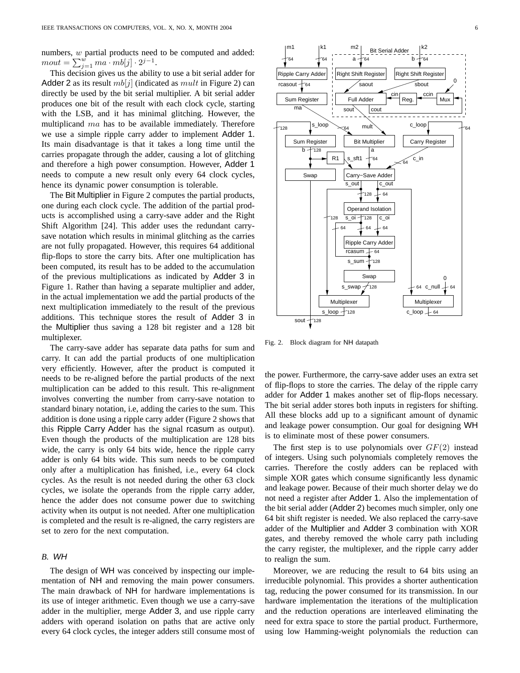numbers, w partial products need to be computed and added: mont =  $\sum_{j=1}^{w} ma \cdot mb[j] \cdot 2^{j-1}$ .

This decision gives us the ability to use a bit serial adder for Adder 2 as its result  $mb[j]$  (indicated as  $mult$  in Figure 2) can directly be used by the bit serial multiplier. A bit serial adder produces one bit of the result with each clock cycle, starting with the LSB, and it has minimal glitching. However, the multiplicand ma has to be available immediately. Therefore we use a simple ripple carry adder to implement Adder 1. Its main disadvantage is that it takes a long time until the carries propagate through the adder, causing a lot of glitching and therefore a high power consumption. However, Adder 1 needs to compute a new result only every 64 clock cycles, hence its dynamic power consumption is tolerable.

The Bit Multiplier in Figure 2 computes the partial products, one during each clock cycle. The addition of the partial products is accomplished using a carry-save adder and the Right Shift Algorithm [24]. This adder uses the redundant carrysave notation which results in minimal glitching as the carries are not fully propagated. However, this requires 64 additional flip-flops to store the carry bits. After one multiplication has been computed, its result has to be added to the accumulation of the previous multiplications as indicated by Adder 3 in Figure 1. Rather than having a separate multiplier and adder, in the actual implementation we add the partial products of the next multiplication immediately to the result of the previous additions. This technique stores the result of Adder 3 in the Multiplier thus saving a 128 bit register and a 128 bit multiplexer.

The carry-save adder has separate data paths for sum and carry. It can add the partial products of one multiplication very efficiently. However, after the product is computed it needs to be re-aligned before the partial products of the next multiplication can be added to this result. This re-alignment involves converting the number from carry-save notation to standard binary notation, i.e, adding the caries to the sum. This addition is done using a ripple carry adder (Figure 2 shows that this Ripple Carry Adder has the signal rcasum as output). Even though the products of the multiplication are 128 bits wide, the carry is only 64 bits wide, hence the ripple carry adder is only 64 bits wide. This sum needs to be computed only after a multiplication has finished, i.e., every 64 clock cycles. As the result is not needed during the other 63 clock cycles, we isolate the operands from the ripple carry adder, hence the adder does not consume power due to switching activity when its output is not needed. After one multiplication is completed and the result is re-aligned, the carry registers are set to zero for the next computation.

# *B.* WH

The design of WH was conceived by inspecting our implementation of NH and removing the main power consumers. The main drawback of NH for hardware implementations is its use of integer arithmetic. Even though we use a carry-save adder in the multiplier, merge Adder 3, and use ripple carry adders with operand isolation on paths that are active only every 64 clock cycles, the integer adders still consume most of



Fig. 2. Block diagram for NH datapath

the power. Furthermore, the carry-save adder uses an extra set of flip-flops to store the carries. The delay of the ripple carry adder for Adder 1 makes another set of flip-flops necessary. The bit serial adder stores both inputs in registers for shifting. All these blocks add up to a significant amount of dynamic and leakage power consumption. Our goal for designing WH is to eliminate most of these power consumers.

The first step is to use polynomials over  $GF(2)$  instead of integers. Using such polynomials completely removes the carries. Therefore the costly adders can be replaced with simple XOR gates which consume significantly less dynamic and leakage power. Because of their much shorter delay we do not need a register after Adder 1. Also the implementation of the bit serial adder (Adder 2) becomes much simpler, only one 64 bit shift register is needed. We also replaced the carry-save adder of the Multiplier and Adder 3 combination with XOR gates, and thereby removed the whole carry path including the carry register, the multiplexer, and the ripple carry adder to realign the sum.

Moreover, we are reducing the result to 64 bits using an irreducible polynomial. This provides a shorter authentication tag, reducing the power consumed for its transmission. In our hardware implementation the iterations of the multiplication and the reduction operations are interleaved eliminating the need for extra space to store the partial product. Furthermore, using low Hamming-weight polynomials the reduction can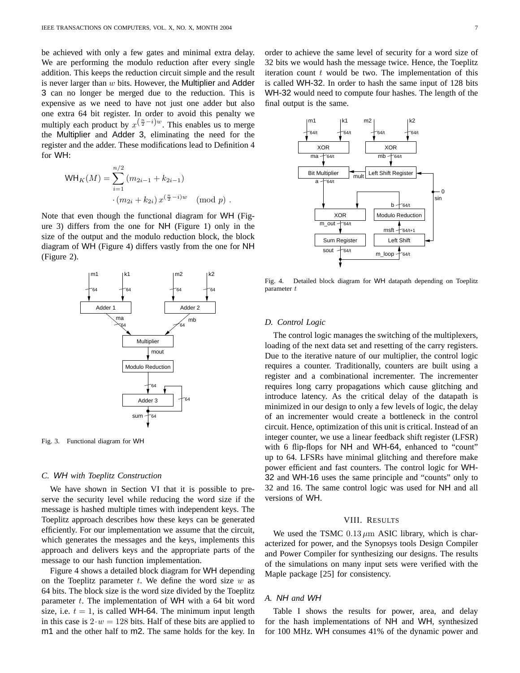be achieved with only a few gates and minimal extra delay. We are performing the modulo reduction after every single addition. This keeps the reduction circuit simple and the result is never larger than  $w$  bits. However, the Multiplier and Adder 3 can no longer be merged due to the reduction. This is expensive as we need to have not just one adder but also one extra 64 bit register. In order to avoid this penalty we multiply each product by  $x^{\left(\frac{n}{2}-i\right)w}$ . This enables us to merge the Multiplier and Adder 3, eliminating the need for the register and the adder. These modifications lead to Definition 4 for WH:

$$
WH_K(M) = \sum_{i=1}^{n/2} (m_{2i-1} + k_{2i-1})
$$

$$
\cdot (m_{2i} + k_{2i}) x^{(\frac{n}{2} - i)w} \pmod{p}.
$$

Note that even though the functional diagram for WH (Figure 3) differs from the one for NH (Figure 1) only in the size of the output and the modulo reduction block, the block diagram of WH (Figure 4) differs vastly from the one for NH (Figure 2).



Fig. 3. Functional diagram for WH

### *C.* WH *with Toeplitz Construction*

We have shown in Section VI that it is possible to preserve the security level while reducing the word size if the message is hashed multiple times with independent keys. The Toeplitz approach describes how these keys can be generated efficiently. For our implementation we assume that the circuit, which generates the messages and the keys, implements this approach and delivers keys and the appropriate parts of the message to our hash function implementation.

Figure 4 shows a detailed block diagram for WH depending on the Toeplitz parameter  $t$ . We define the word size  $w$  as 64 bits. The block size is the word size divided by the Toeplitz parameter  $t$ . The implementation of WH with a 64 bit word size, i.e.  $t = 1$ , is called WH-64. The minimum input length in this case is  $2 \cdot w = 128$  bits. Half of these bits are applied to m1 and the other half to m2. The same holds for the key. In order to achieve the same level of security for a word size of 32 bits we would hash the message twice. Hence, the Toeplitz iteration count  $t$  would be two. The implementation of this is called WH-32. In order to hash the same input of 128 bits WH-32 would need to compute four hashes. The length of the final output is the same.



Fig. 4. Detailed block diagram for WH datapath depending on Toeplitz parameter  $t$ 

#### *D. Control Logic*

The control logic manages the switching of the multiplexers, loading of the next data set and resetting of the carry registers. Due to the iterative nature of our multiplier, the control logic requires a counter. Traditionally, counters are built using a register and a combinational incrementer. The incrementer requires long carry propagations which cause glitching and introduce latency. As the critical delay of the datapath is minimized in our design to only a few levels of logic, the delay of an incrementer would create a bottleneck in the control circuit. Hence, optimization of this unit is critical. Instead of an integer counter, we use a linear feedback shift register (LFSR) with 6 flip-flops for NH and WH-64, enhanced to "count" up to 64. LFSRs have minimal glitching and therefore make power efficient and fast counters. The control logic for WH-32 and WH-16 uses the same principle and "counts" only to 32 and 16. The same control logic was used for NH and all versions of WH.

# VIII. RESULTS

We used the TSMC  $0.13 \mu m$  ASIC library, which is characterized for power, and the Synopsys tools Design Compiler and Power Compiler for synthesizing our designs. The results of the simulations on many input sets were verified with the Maple package [25] for consistency.

# *A.* NH *and* WH

Table I shows the results for power, area, and delay for the hash implementations of NH and WH, synthesized for 100 MHz. WH consumes 41% of the dynamic power and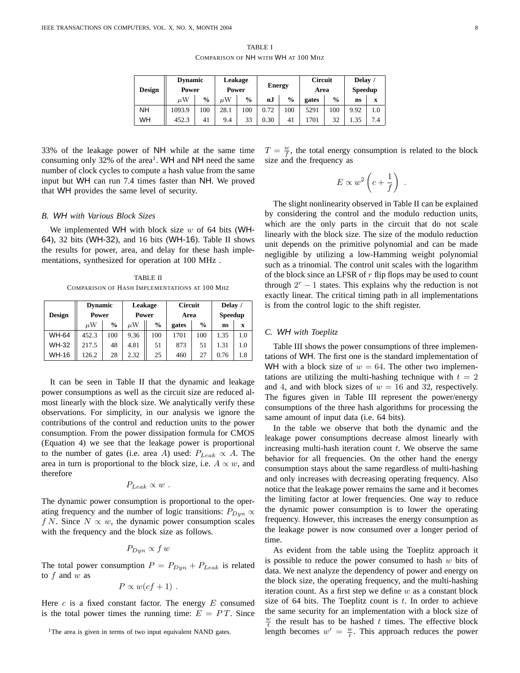| <b>Design</b> | <b>Dynamic</b><br>Power |               | Leakage<br>Power |               | <b>Energy</b> |               | <b>Circuit</b><br>Area |               | Delay /<br><b>Speedup</b> |     |  |
|---------------|-------------------------|---------------|------------------|---------------|---------------|---------------|------------------------|---------------|---------------------------|-----|--|
|               | $\mu$ W                 | $\frac{0}{0}$ | μW               | $\frac{0}{0}$ | n.J           | $\frac{6}{9}$ | gates                  | $\frac{0}{0}$ | ns                        | X   |  |
| <b>NH</b>     | 1093.9                  | 100           | 28.1             | 100           | 0.72          | 100           | 5291                   | 100           | 9.92                      | 1.0 |  |
| WН            | 452.3                   | 41            | 9.4              | 33            | 0.30          | 41            | 1701                   | 32            | 1.35                      | 7.4 |  |

TABLE I COMPARISON OF NH WITH WH AT 100 MHZ

33% of the leakage power of NH while at the same time consuming only 32% of the area<sup>1</sup>. WH and NH need the same number of clock cycles to compute a hash value from the same input but WH can run 7.4 times faster than NH. We proved that WH provides the same level of security.

#### *B.* WH *with Various Block Sizes*

We implemented WH with block size  $w$  of 64 bits (WH-64), 32 bits (WH-32), and 16 bits (WH-16). Table II shows the results for power, area, and delay for these hash implementations, synthesized for operation at 100 MHz .

TABLE II COMPARISON OF HASH IMPLEMENTATIONS AT 100 MHZ

| Design       | <b>Dynamic</b><br>Power |               | Leakage<br><b>Power</b> |               | <b>Circuit</b><br>Area |               | Delay /<br>Speedup |     |  |
|--------------|-------------------------|---------------|-------------------------|---------------|------------------------|---------------|--------------------|-----|--|
|              | $\mu$ W                 | $\frac{0}{0}$ | uW                      | $\frac{0}{0}$ | gates                  | $\frac{0}{0}$ | ns                 | x   |  |
| <b>WH-64</b> | 452.3                   | 100           | 9.36                    | 100           | 1701                   | 100           | 1.35               | 1.0 |  |
| <b>WH-32</b> | 217.5                   | 48            | 4.81                    | 51            | 873                    | 51            | 1.31               | 1.0 |  |
| WH-16        | 126.2                   | 28            | 2.32                    | 25            | 460                    | 27            | 0.76               | 1.8 |  |

It can be seen in Table II that the dynamic and leakage power consumptions as well as the circuit size are reduced almost linearly with the block size. We analytically verify these observations. For simplicity, in our analysis we ignore the contributions of the control and reduction units to the power consumption. From the power dissipation formula for CMOS (Equation 4) we see that the leakage power is proportional to the number of gates (i.e. area A) used:  $P_{Leak} \propto A$ . The area in turn is proportional to the block size, i.e.  $A \propto w$ , and therefore

$$
P_{Leak} \propto w.
$$

The dynamic power consumption is proportional to the operating frequency and the number of logic transitions:  $P_{Dyn} \propto$ f N. Since  $N \propto w$ , the dynamic power consumption scales with the frequency and the block size as follows.

$$
P_{Dyn} \propto f w
$$

The total power consumption  $P = P_{Dyn} + P_{Leak}$  is related to  $f$  and  $w$  as

$$
P \propto w(cf+1) \; .
$$

Here  $c$  is a fixed constant factor. The energy  $E$  consumed is the total power times the running time:  $E = PT$ . Since

 $T = \frac{w}{f}$ , the total energy consumption is related to the block size and the frequency as

$$
E \propto w^2 \left( c + \frac{1}{f} \right) .
$$

The slight nonlinearity observed in Table II can be explained by considering the control and the modulo reduction units, which are the only parts in the circuit that do not scale linearly with the block size. The size of the modulo reduction unit depends on the primitive polynomial and can be made negligible by utilizing a low-Hamming weight polynomial such as a trinomial. The control unit scales with the logarithm of the block since an LFSR of  $r$  flip flops may be used to count through  $2<sup>r</sup> - 1$  states. This explains why the reduction is not exactly linear. The critical timing path in all implementations is from the control logic to the shift register.

# *C.* WH *with Toeplitz*

Table III shows the power consumptions of three implementations of WH. The first one is the standard implementation of WH with a block size of  $w = 64$ . The other two implementations are utilizing the multi-hashing technique with  $t = 2$ and 4, and with block sizes of  $w = 16$  and 32, respectively. The figures given in Table III represent the power/energy consumptions of the three hash algorithms for processing the same amount of input data (i.e. 64 bits).

In the table we observe that both the dynamic and the leakage power consumptions decrease almost linearly with increasing multi-hash iteration count  $t$ . We observe the same behavior for all frequencies. On the other hand the energy consumption stays about the same regardless of multi-hashing and only increases with decreasing operating frequency. Also notice that the leakage power remains the same and it becomes the limiting factor at lower frequencies. One way to reduce the dynamic power consumption is to lower the operating frequency. However, this increases the energy consumption as the leakage power is now consumed over a longer period of time.

As evident from the table using the Toeplitz approach it is possible to reduce the power consumed to hash  $w$  bits of data. We next analyze the dependency of power and energy on the block size, the operating frequency, and the multi-hashing iteration count. As a first step we define  $w$  as a constant block size of 64 bits. The Toeplitz count is  $t$ . In order to achieve the same security for an implementation with a block size of  $\frac{w}{t}$  the result has to be hashed t times. The effective block length becomes  $w' = \frac{w}{t}$ . This approach reduces the power

<sup>&</sup>lt;sup>1</sup>The area is given in terms of two input equivalent NAND gates.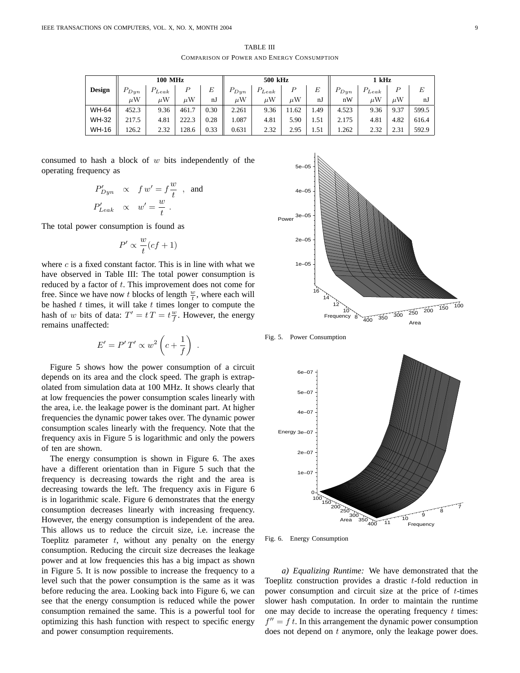|              |           | <b>100 MHz</b> |       |      |           | 500 kHz    |                  |      | 1 kHz     |            |      |       |  |
|--------------|-----------|----------------|-------|------|-----------|------------|------------------|------|-----------|------------|------|-------|--|
| Design       | $P_{Dyn}$ | $P_{Leak}$     | Р     | E    | $P_{Dyn}$ | $P_{Leak}$ | $\boldsymbol{P}$ | E    | $P_{Dyn}$ | $P_{Leak}$ |      | E     |  |
|              | μW        | μW             | μW    | n.J  | $\mu$ W   | μW         | $\mu$ W          | nJ   | nW        | μW         | μW   | nJ    |  |
| <b>WH-64</b> | 452.3     | 9.36           | 461.7 | 0.30 | 2.261     | 9.36       | 11.62            | 1.49 | 4.523     | 9.36       | 9.37 | 599.5 |  |
| <b>WH-32</b> | 217.5     | 4.81           | 222.3 | 0.28 | 1.087     | 4.81       | 5.90             | 1.51 | 2.175     | 4.81       | 4.82 | 616.4 |  |
| <b>WH-16</b> | 126.2     | 2.32           | 128.6 | 0.33 | 0.631     | 2.32       | 2.95             | 1.51 | .262      | 2.32       | 2.31 | 592.9 |  |

TABLE III COMPARISON OF POWER AND ENERGY CONSUMPTION

consumed to hash a block of  $w$  bits independently of the operating frequency as

$$
\begin{array}{lcl} P'_{Dyn} & \propto & f \, w' = f \displaystyle \frac{w}{t} \ \ , \ \ \text{and} \\ P'_{Leak} & \propto & w' = \displaystyle \frac{w}{t} \ . \end{array}
$$

The total power consumption is found as

$$
P' \propto \frac{w}{t}(cf+1)
$$

where  $c$  is a fixed constant factor. This is in line with what we have observed in Table III: The total power consumption is reduced by a factor of  $t$ . This improvement does not come for free. Since we have now t blocks of length  $\frac{w}{t}$ , where each will be hashed  $t$  times, it will take  $t$  times longer to compute the hash of w bits of data:  $T' = tT = t\frac{w}{f}$ . However, the energy remains unaffected:

$$
E' = P' T' \propto w^2 \left( c + \frac{1}{f} \right) .
$$

Figure 5 shows how the power consumption of a circuit depends on its area and the clock speed. The graph is extrapolated from simulation data at 100 MHz. It shows clearly that at low frequencies the power consumption scales linearly with the area, i.e. the leakage power is the dominant part. At higher frequencies the dynamic power takes over. The dynamic power consumption scales linearly with the frequency. Note that the frequency axis in Figure 5 is logarithmic and only the powers of ten are shown.

The energy consumption is shown in Figure 6. The axes have a different orientation than in Figure 5 such that the frequency is decreasing towards the right and the area is decreasing towards the left. The frequency axis in Figure 6 is in logarithmic scale. Figure 6 demonstrates that the energy consumption decreases linearly with increasing frequency. However, the energy consumption is independent of the area. This allows us to reduce the circuit size, i.e. increase the Toeplitz parameter  $t$ , without any penalty on the energy consumption. Reducing the circuit size decreases the leakage power and at low frequencies this has a big impact as shown in Figure 5. It is now possible to increase the frequency to a level such that the power consumption is the same as it was before reducing the area. Looking back into Figure 6, we can see that the energy consumption is reduced while the power consumption remained the same. This is a powerful tool for optimizing this hash function with respect to specific energy and power consumption requirements.



Fig. 5. Power Consumption



Fig. 6. Energy Consumption

*a) Equalizing Runtime:* We have demonstrated that the Toeplitz construction provides a drastic  $t$ -fold reduction in power consumption and circuit size at the price of  $t$ -times slower hash computation. In order to maintain the runtime one may decide to increase the operating frequency  $t$  times:  $f'' = f t$ . In this arrangement the dynamic power consumption does not depend on t anymore, only the leakage power does.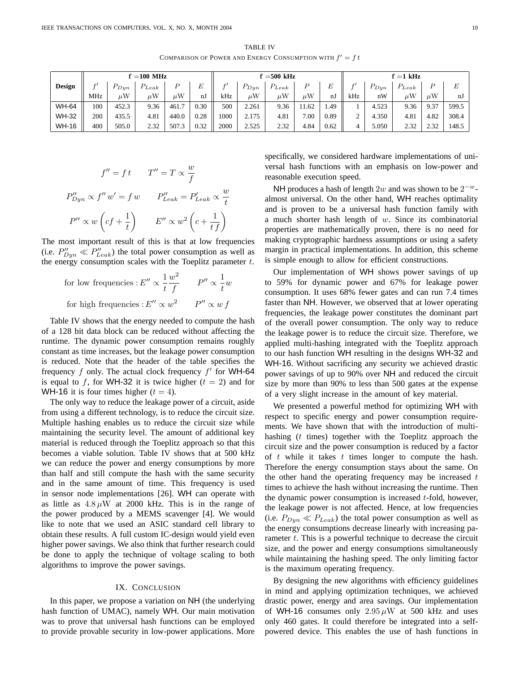TABLE IV COMPARISON OF POWER AND ENERGY CONSUMPTION WITH  $f' = f t$ 

|              |            |           | $f = 100$ MHz |         | $f = 500$ kHz |      |           |            |      |      | $f = 1$ kHz |           |            |         |       |
|--------------|------------|-----------|---------------|---------|---------------|------|-----------|------------|------|------|-------------|-----------|------------|---------|-------|
| Design       | £1         | $P_{Dyn}$ | $P_{Leak}$    |         | F.            | r I  | $P_{Dyn}$ | $P_{Leak}$ |      | F    |             | $P_{Dun}$ | $P_{Leak}$ |         | E     |
|              | <b>MHz</b> | μW        | $\mu$ W       | $\mu$ W | nJ            | ĸHz  | $\mu$ W   | $\mu$ W    | uW   | nJ   | kHz         | nW        | $\mu$ W    | $\mu$ W | nJ    |
| <b>WH-64</b> | 100        | 452.3     | 9.36          | 461.    | 0.30          | 500  | 2.261     | 9.36       | .62  | .49  |             | 4.523     | 9.36       | 9.37    | 599.5 |
| <b>WH-32</b> | 200        | 435.5     | 4.81          | 440.0   | 0.28          | 1000 | 2.175     | 4.81       | 7.00 | 0.89 | $\sim$<br>∽ | 4.350     | 4.81       | 4.82    | 308.4 |
| <b>WH-16</b> | 400        | 505.0     | 2.32          | 507.3   | 0.32          | 2000 | 2.525     | 2.32       | 4.84 | 0.62 |             | 5.050     | 2.32       | 2.32    | 148.5 |

$$
f'' = ft \t T'' = T \propto \frac{w}{f}
$$
  

$$
P''_{Dyn} \propto f'' w' = f w \t P''_{Leak} = P'_{Leak} \propto \frac{w}{t}
$$
  

$$
P'' \propto w \left( cf + \frac{1}{t} \right) \t E'' \propto w^2 \left( c + \frac{1}{t f} \right)
$$

The most important result of this is that at low frequencies (i.e.  $P''_{Dyn} \ll P''_{Leak}$ ) the total power consumption as well as the energy consumption scales with the Toeplitz parameter  $t$ .

for low frequencies :  $E'' \propto \frac{1}{2}$ t  $w^2$  $\frac{v^2}{f} \qquad P'' \propto \frac{1}{t}$  $\frac{1}{t}w$ for high frequencies  $:E'' \propto w$ <sup>2</sup>  $P'' \propto w f$ 

Table IV shows that the energy needed to compute the hash of a 128 bit data block can be reduced without affecting the runtime. The dynamic power consumption remains roughly constant as time increases, but the leakage power consumption is reduced. Note that the header of the table specifies the frequency  $f$  only. The actual clock frequency  $f'$  for WH-64 is equal to f, for WH-32 it is twice higher  $(t = 2)$  and for WH-16 it is four times higher  $(t = 4)$ .

The only way to reduce the leakage power of a circuit, aside from using a different technology, is to reduce the circuit size. Multiple hashing enables us to reduce the circuit size while maintaining the security level. The amount of additional key material is reduced through the Toeplitz approach so that this becomes a viable solution. Table IV shows that at 500 kHz we can reduce the power and energy consumptions by more than half and still compute the hash with the same security and in the same amount of time. This frequency is used in sensor node implementations [26]. WH can operate with as little as  $4.8 \mu W$  at 2000 kHz. This is in the range of the power produced by a MEMS scavenger [4]. We would like to note that we used an ASIC standard cell library to obtain these results. A full custom IC-design would yield even higher power savings. We also think that further research could be done to apply the technique of voltage scaling to both algorithms to improve the power savings.

#### IX. CONCLUSION

In this paper, we propose a variation on NH (the underlying hash function of UMAC), namely WH. Our main motivation was to prove that universal hash functions can be employed to provide provable security in low-power applications. More

specifically, we considered hardware implementations of universal hash functions with an emphasis on low-power and reasonable execution speed.

NH produces a hash of length 2w and was shown to be  $2^{-w}$ almost universal. On the other hand, WH reaches optimality and is proven to be a universal hash function family with a much shorter hash length of  $w$ . Since its combinatorial properties are mathematically proven, there is no need for making cryptographic hardness assumptions or using a safety margin in practical implementations. In addition, this scheme is simple enough to allow for efficient constructions.

Our implementation of WH shows power savings of up to 59% for dynamic power and 67% for leakage power consumption. It uses 68% fewer gates and can run 7.4 times faster than NH. However, we observed that at lower operating frequencies, the leakage power constitutes the dominant part of the overall power consumption. The only way to reduce the leakage power is to reduce the circuit size. Therefore, we applied multi-hashing integrated with the Toeplitz approach to our hash function WH resulting in the designs WH-32 and WH-16. Without sacrificing any security we achieved drastic power savings of up to 90% over NH and reduced the circuit size by more than 90% to less than 500 gates at the expense of a very slight increase in the amount of key material.

We presented a powerful method for optimizing WH with respect to specific energy and power consumption requirements. We have shown that with the introduction of multihashing (t times) together with the Toeplitz approach the circuit size and the power consumption is reduced by a factor of  $t$  while it takes  $t$  times longer to compute the hash. Therefore the energy consumption stays about the same. On the other hand the operating frequency may be increased  $t$ times to achieve the hash without increasing the runtime. Then the dynamic power consumption is increased  $t$ -fold, however, the leakage power is not affected. Hence, at low frequencies (i.e.  $P_{Dyn} \ll P_{Leak}$ ) the total power consumption as well as the energy consumptions decrease linearly with increasing parameter  $t$ . This is a powerful technique to decrease the circuit size, and the power and energy consumptions simultaneously while maintaining the hashing speed. The only limiting factor is the maximum operating frequency.

By designing the new algorithms with efficiency guidelines in mind and applying optimization techniques, we achieved drastic power, energy and area savings. Our implementation of WH-16 consumes only  $2.95 \mu W$  at 500 kHz and uses only 460 gates. It could therefore be integrated into a selfpowered device. This enables the use of hash functions in